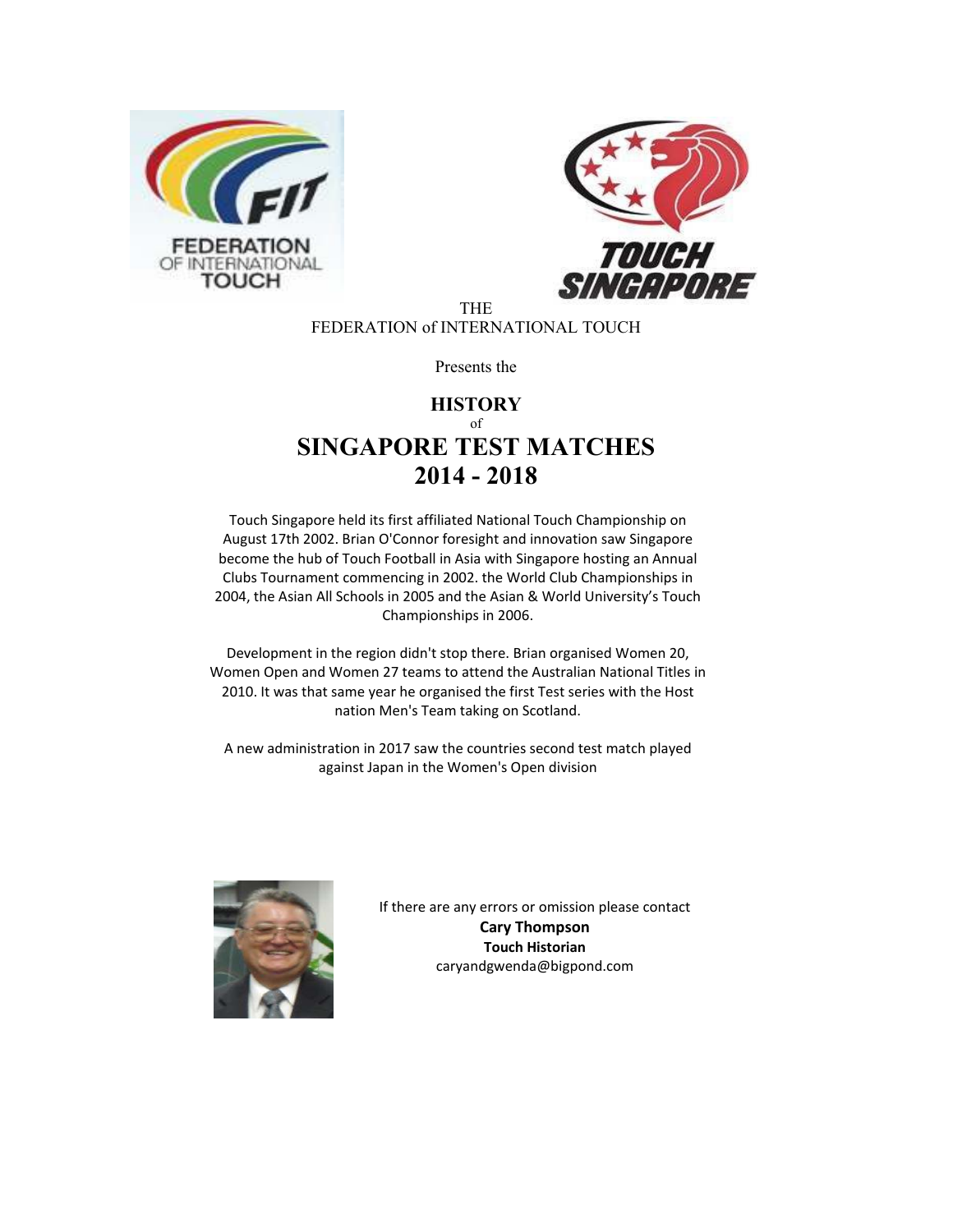



THE FEDERATION of INTERNATIONAL TOUCH

Presents the

## **HISTORY** of **SINGAPORE TEST MATCHES 2014 - 2018**

Touch Singapore held its first affiliated National Touch Championship on August 17th 2002. Brian O'Connor foresight and innovation saw Singapore become the hub of Touch Football in Asia with Singapore hosting an Annual Clubs Tournament commencing in 2002. the World Club Championships in 2004, the Asian All Schools in 2005 and the Asian & World University's Touch Championships in 2006.

Development in the region didn't stop there. Brian organised Women 20, Women Open and Women 27 teams to attend the Australian National Titles in 2010. It was that same year he organised the first Test series with the Host nation Men's Team taking on Scotland.

A new administration in 2017 saw the countries second test match played against Japan in the Women's Open division



If there are any errors or omission please contact **Cary Thompson Touch Historian**  caryandgwenda@bigpond.com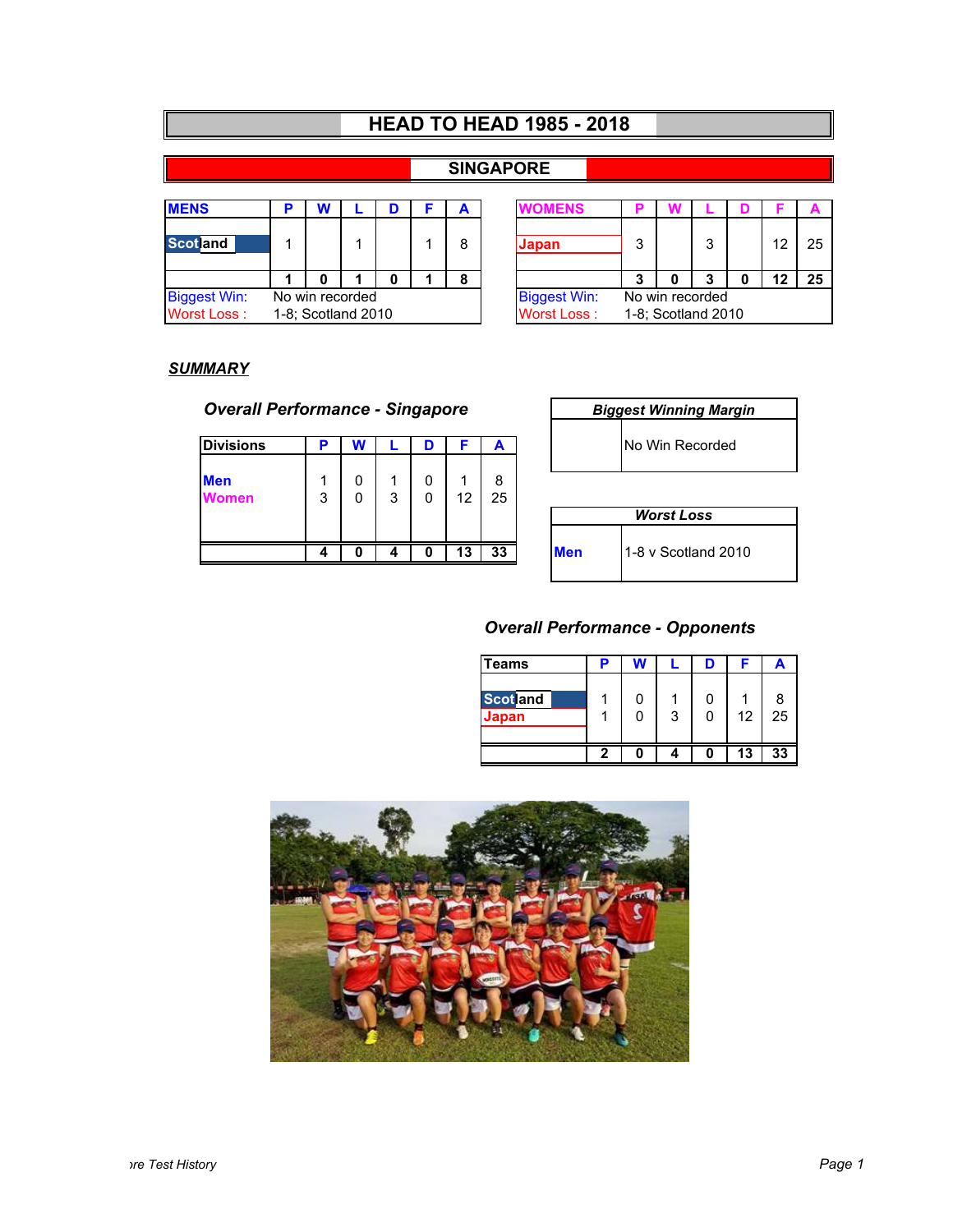|  | <b>HEAD TO HEAD 1985 - 2018</b> |  |  |
|--|---------------------------------|--|--|
|--|---------------------------------|--|--|

### **SINGAPORE**

| <b>MENS</b>         |                    |  |  |  |  |   | <b><i>IOMENS</i></b> |   |                    |   |    |    |
|---------------------|--------------------|--|--|--|--|---|----------------------|---|--------------------|---|----|----|
| <b>Scotland</b>     |                    |  |  |  |  | 8 | Japan                | 3 |                    | 3 | 12 | 25 |
|                     |                    |  |  |  |  | 8 |                      | 3 |                    | 3 | 12 | 25 |
| <b>Biggest Win:</b> | No win recorded    |  |  |  |  |   | <b>Biggest Win:</b>  |   | No win recorded    |   |    |    |
| <b>Worst Loss:</b>  | 1-8; Scotland 2010 |  |  |  |  |   | <b>Worst Loss:</b>   |   | 1-8; Scotland 2010 |   |    |    |

| D |                  |                |  |  | A           | <b>/OMENS</b>       |   |                 |   |  |    |    |
|---|------------------|----------------|--|--|-------------|---------------------|---|-----------------|---|--|----|----|
|   |                  |                |  |  | 8           | Japan               | 3 |                 | 3 |  | 12 | 25 |
|   |                  |                |  |  | 8           |                     | 3 |                 | 3 |  | 2  | 25 |
|   |                  | o win recorded |  |  |             | <b>Biggest Win:</b> |   | No win recorded |   |  |    |    |
|   | 8; Scotland 2010 |                |  |  | Worst Loss: | 1-8; Scotland 2010  |   |                 |   |  |    |    |

### *SUMMARY*

## **Overall Performance - Singapore**

| <b>Divisions</b>            | D | W      |   | D      |    | A       |            | <b>No Win Recorded</b> |
|-----------------------------|---|--------|---|--------|----|---------|------------|------------------------|
| <b>Men</b><br><i>J</i> omen | 3 | 0<br>0 | 3 | 0<br>0 | 12 | 8<br>25 |            | <b>Worst Loss</b>      |
|                             |   | O      |   | 0      | 13 | 33      | <b>Men</b> | 1-8 v Scotland 20      |

| Biggest Winning Margin |                 |  |  |  |  |  |  |  |  |
|------------------------|-----------------|--|--|--|--|--|--|--|--|
|                        | No Win Recorded |  |  |  |  |  |  |  |  |
|                        |                 |  |  |  |  |  |  |  |  |
| <b>Worst Loss</b>      |                 |  |  |  |  |  |  |  |  |
|                        |                 |  |  |  |  |  |  |  |  |

# **Men** 1-8 v Scotland 2010

## *Overall Performance - Opponents*

| <b>Teams</b>             | E |   |    | A       |
|--------------------------|---|---|----|---------|
| <b>Scotland</b><br>Japan |   | 3 | 12 | 8<br>25 |
|                          |   |   | 13 | 33      |